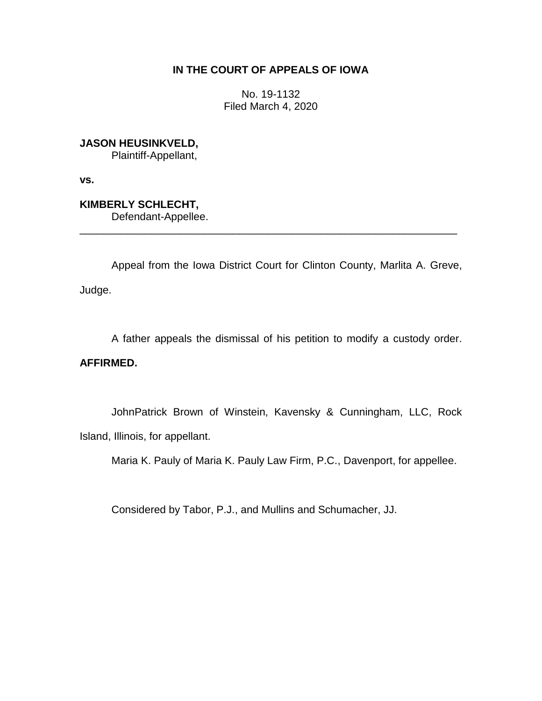# **IN THE COURT OF APPEALS OF IOWA**

No. 19-1132 Filed March 4, 2020

**JASON HEUSINKVELD,**

Plaintiff-Appellant,

**vs.**

**KIMBERLY SCHLECHT,** Defendant-Appellee.

Appeal from the Iowa District Court for Clinton County, Marlita A. Greve, Judge.

\_\_\_\_\_\_\_\_\_\_\_\_\_\_\_\_\_\_\_\_\_\_\_\_\_\_\_\_\_\_\_\_\_\_\_\_\_\_\_\_\_\_\_\_\_\_\_\_\_\_\_\_\_\_\_\_\_\_\_\_\_\_\_\_

A father appeals the dismissal of his petition to modify a custody order.

# **AFFIRMED.**

JohnPatrick Brown of Winstein, Kavensky & Cunningham, LLC, Rock Island, Illinois, for appellant.

Maria K. Pauly of Maria K. Pauly Law Firm, P.C., Davenport, for appellee.

Considered by Tabor, P.J., and Mullins and Schumacher, JJ.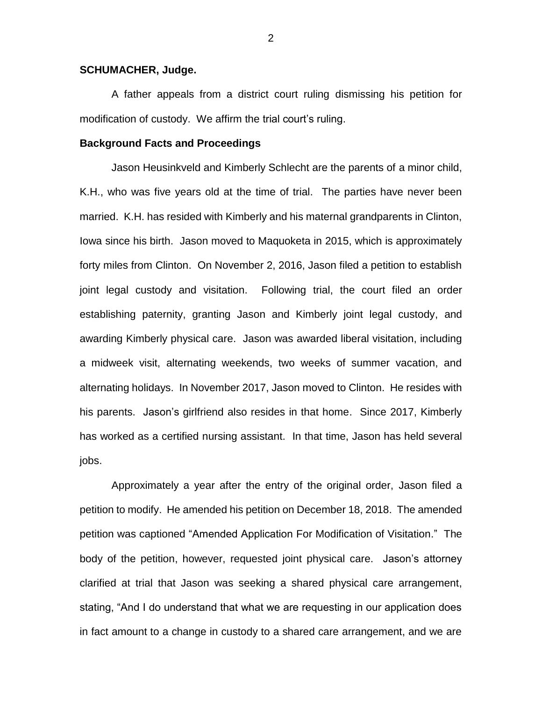### **SCHUMACHER, Judge.**

A father appeals from a district court ruling dismissing his petition for modification of custody. We affirm the trial court's ruling.

## **Background Facts and Proceedings**

Jason Heusinkveld and Kimberly Schlecht are the parents of a minor child, K.H., who was five years old at the time of trial. The parties have never been married. K.H. has resided with Kimberly and his maternal grandparents in Clinton, Iowa since his birth. Jason moved to Maquoketa in 2015, which is approximately forty miles from Clinton. On November 2, 2016, Jason filed a petition to establish joint legal custody and visitation. Following trial, the court filed an order establishing paternity, granting Jason and Kimberly joint legal custody, and awarding Kimberly physical care. Jason was awarded liberal visitation, including a midweek visit, alternating weekends, two weeks of summer vacation, and alternating holidays. In November 2017, Jason moved to Clinton. He resides with his parents. Jason's girlfriend also resides in that home. Since 2017, Kimberly has worked as a certified nursing assistant. In that time, Jason has held several jobs.

Approximately a year after the entry of the original order, Jason filed a petition to modify. He amended his petition on December 18, 2018. The amended petition was captioned "Amended Application For Modification of Visitation." The body of the petition, however, requested joint physical care. Jason's attorney clarified at trial that Jason was seeking a shared physical care arrangement, stating, "And I do understand that what we are requesting in our application does in fact amount to a change in custody to a shared care arrangement, and we are

2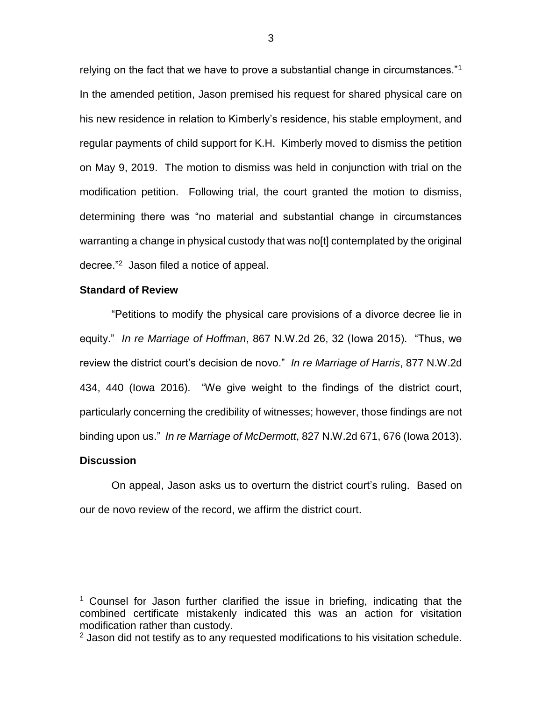relying on the fact that we have to prove a substantial change in circumstances."<sup>1</sup> In the amended petition, Jason premised his request for shared physical care on his new residence in relation to Kimberly's residence, his stable employment, and regular payments of child support for K.H. Kimberly moved to dismiss the petition on May 9, 2019. The motion to dismiss was held in conjunction with trial on the modification petition. Following trial, the court granted the motion to dismiss, determining there was "no material and substantial change in circumstances warranting a change in physical custody that was no[t] contemplated by the original decree."<sup>2</sup> Jason filed a notice of appeal.

## **Standard of Review**

"Petitions to modify the physical care provisions of a divorce decree lie in equity." *In re Marriage of Hoffman*, 867 N.W.2d 26, 32 (Iowa 2015). "Thus, we review the district court's decision de novo." *In re Marriage of Harris*, 877 N.W.2d 434, 440 (Iowa 2016)."We give weight to the findings of the district court, particularly concerning the credibility of witnesses; however, those findings are not binding upon us." *In re Marriage of McDermott*, 827 N.W.2d 671, 676 (Iowa 2013).

#### **Discussion**

 $\overline{a}$ 

On appeal, Jason asks us to overturn the district court's ruling. Based on our de novo review of the record, we affirm the district court.

<sup>&</sup>lt;sup>1</sup> Counsel for Jason further clarified the issue in briefing, indicating that the combined certificate mistakenly indicated this was an action for visitation modification rather than custody.

 $2$  Jason did not testify as to any requested modifications to his visitation schedule.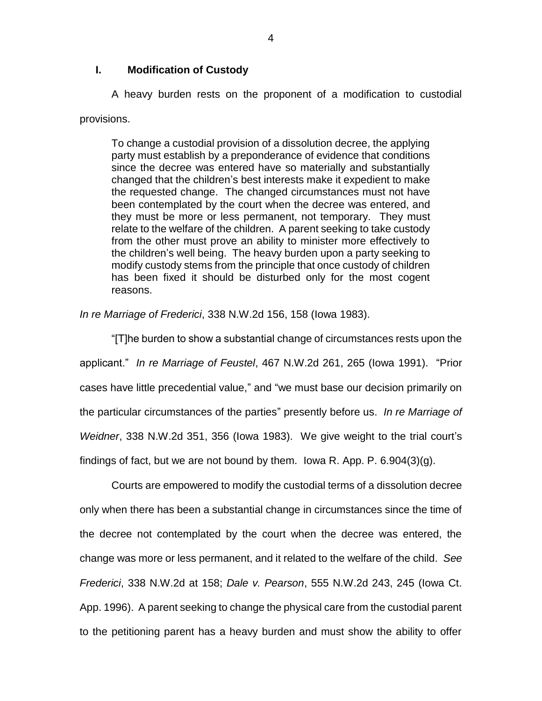# **I. Modification of Custody**

A heavy burden rests on the proponent of a modification to custodial provisions.

To change a custodial provision of a dissolution decree, the applying party must establish by a preponderance of evidence that conditions since the decree was entered have so materially and substantially changed that the children's best interests make it expedient to make the requested change. The changed circumstances must not have been contemplated by the court when the decree was entered, and they must be more or less permanent, not temporary. They must relate to the welfare of the children. A parent seeking to take custody from the other must prove an ability to minister more effectively to the children's well being. The heavy burden upon a party seeking to modify custody stems from the principle that once custody of children has been fixed it should be disturbed only for the most cogent reasons.

*In re Marriage of Frederici*, 338 N.W.2d 156, 158 (Iowa 1983).

"[T]he burden to show a substantial change of circumstances rests upon the applicant." *In re Marriage of Feustel*, 467 N.W.2d 261, 265 (Iowa 1991). "Prior cases have little precedential value," and "we must base our decision primarily on the particular circumstances of the parties" presently before us. *In re Marriage of Weidner*, 338 N.W.2d 351, 356 (Iowa 1983). We give weight to the trial court's findings of fact, but we are not bound by them. Iowa R. App. P. 6.904(3)(g).

Courts are empowered to modify the custodial terms of a dissolution decree only when there has been a substantial change in circumstances since the time of the decree not contemplated by the court when the decree was entered, the change was more or less permanent, and it related to the welfare of the child. *See Frederici*, 338 N.W.2d at 158; *Dale v. Pearson*, 555 N.W.2d 243, 245 (Iowa Ct. App. 1996). A parent seeking to change the physical care from the custodial parent to the petitioning parent has a heavy burden and must show the ability to offer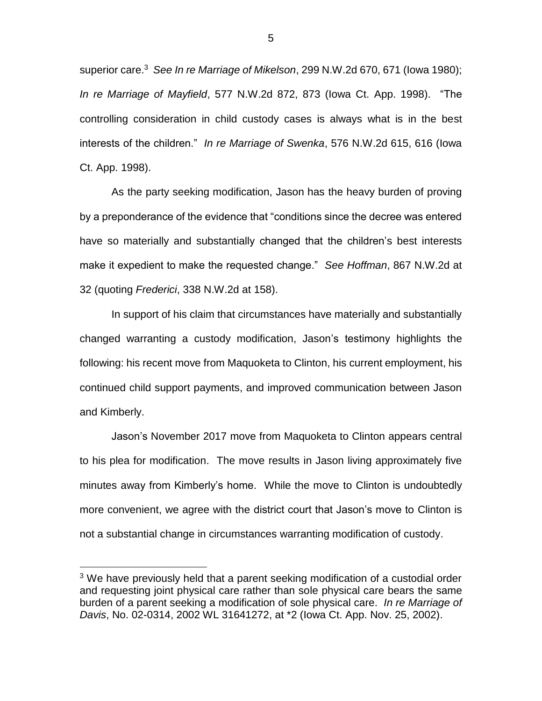superior care.<sup>3</sup> *See In re Marriage of Mikelson*, 299 N.W.2d 670, 671 (Iowa 1980); *In re Marriage of Mayfield*, 577 N.W.2d 872, 873 (Iowa Ct. App. 1998). "The controlling consideration in child custody cases is always what is in the best interests of the children." *In re Marriage of Swenka*, 576 N.W.2d 615, 616 (Iowa Ct. App. 1998).

As the party seeking modification, Jason has the heavy burden of proving by a preponderance of the evidence that "conditions since the decree was entered have so materially and substantially changed that the children's best interests make it expedient to make the requested change." *See Hoffman*, 867 N.W.2d at 32 (quoting *Frederici*, 338 N.W.2d at 158).

In support of his claim that circumstances have materially and substantially changed warranting a custody modification, Jason's testimony highlights the following: his recent move from Maquoketa to Clinton, his current employment, his continued child support payments, and improved communication between Jason and Kimberly.

Jason's November 2017 move from Maquoketa to Clinton appears central to his plea for modification. The move results in Jason living approximately five minutes away from Kimberly's home. While the move to Clinton is undoubtedly more convenient, we agree with the district court that Jason's move to Clinton is not a substantial change in circumstances warranting modification of custody.

 $\overline{a}$ 

<sup>&</sup>lt;sup>3</sup> We have previously held that a parent seeking modification of a custodial order and requesting joint physical care rather than sole physical care bears the same burden of a parent seeking a modification of sole physical care. *In re Marriage of Davis*, No. 02-0314, 2002 WL 31641272, at \*2 (Iowa Ct. App. Nov. 25, 2002).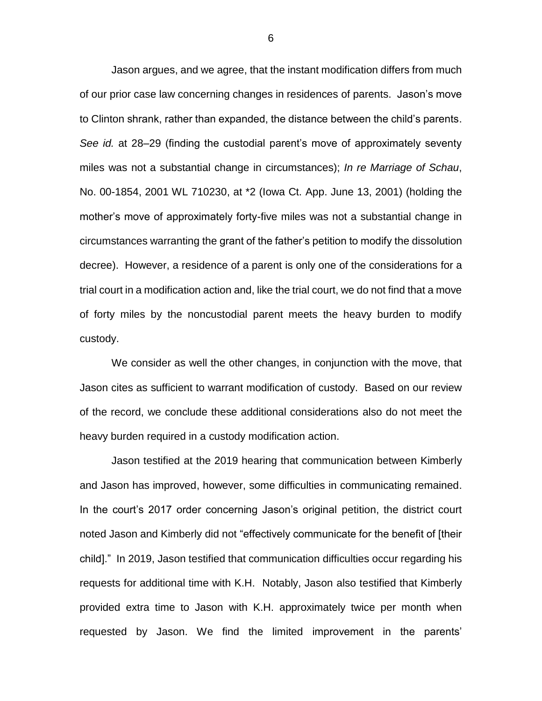Jason argues, and we agree, that the instant modification differs from much of our prior case law concerning changes in residences of parents. Jason's move to Clinton shrank, rather than expanded, the distance between the child's parents. *See id.* at 28–29 (finding the custodial parent's move of approximately seventy miles was not a substantial change in circumstances); *In re Marriage of Schau*, No. 00-1854, 2001 WL 710230, at \*2 (Iowa Ct. App. June 13, 2001) (holding the mother's move of approximately forty-five miles was not a substantial change in circumstances warranting the grant of the father's petition to modify the dissolution decree). However, a residence of a parent is only one of the considerations for a trial court in a modification action and, like the trial court, we do not find that a move of forty miles by the noncustodial parent meets the heavy burden to modify custody.

We consider as well the other changes, in conjunction with the move, that Jason cites as sufficient to warrant modification of custody. Based on our review of the record, we conclude these additional considerations also do not meet the heavy burden required in a custody modification action.

Jason testified at the 2019 hearing that communication between Kimberly and Jason has improved, however, some difficulties in communicating remained. In the court's 2017 order concerning Jason's original petition, the district court noted Jason and Kimberly did not "effectively communicate for the benefit of [their child]." In 2019, Jason testified that communication difficulties occur regarding his requests for additional time with K.H. Notably, Jason also testified that Kimberly provided extra time to Jason with K.H. approximately twice per month when requested by Jason. We find the limited improvement in the parents'

6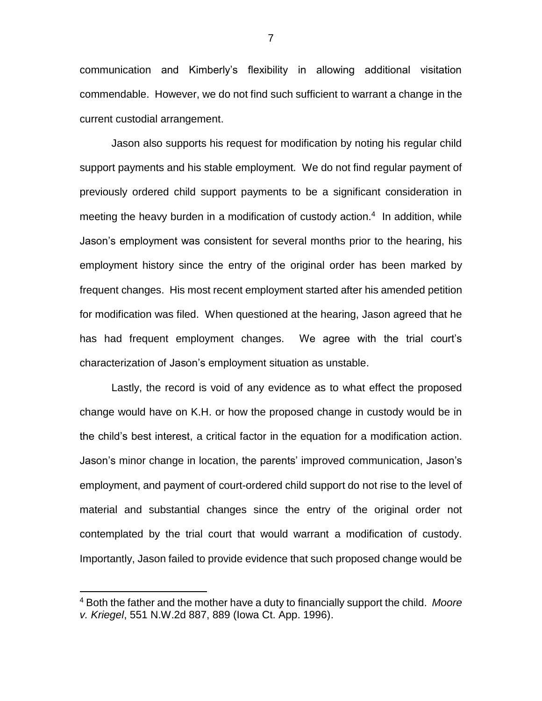communication and Kimberly's flexibility in allowing additional visitation commendable. However, we do not find such sufficient to warrant a change in the current custodial arrangement.

Jason also supports his request for modification by noting his regular child support payments and his stable employment. We do not find regular payment of previously ordered child support payments to be a significant consideration in meeting the heavy burden in a modification of custody action.<sup>4</sup> In addition, while Jason's employment was consistent for several months prior to the hearing, his employment history since the entry of the original order has been marked by frequent changes. His most recent employment started after his amended petition for modification was filed. When questioned at the hearing, Jason agreed that he has had frequent employment changes. We agree with the trial court's characterization of Jason's employment situation as unstable.

Lastly, the record is void of any evidence as to what effect the proposed change would have on K.H. or how the proposed change in custody would be in the child's best interest, a critical factor in the equation for a modification action. Jason's minor change in location, the parents' improved communication, Jason's employment, and payment of court-ordered child support do not rise to the level of material and substantial changes since the entry of the original order not contemplated by the trial court that would warrant a modification of custody. Importantly, Jason failed to provide evidence that such proposed change would be

 $\overline{a}$ 

7

<sup>4</sup> Both the father and the mother have a duty to financially support the child. *Moore v. Kriegel*, 551 N.W.2d 887, 889 (Iowa Ct. App. 1996).